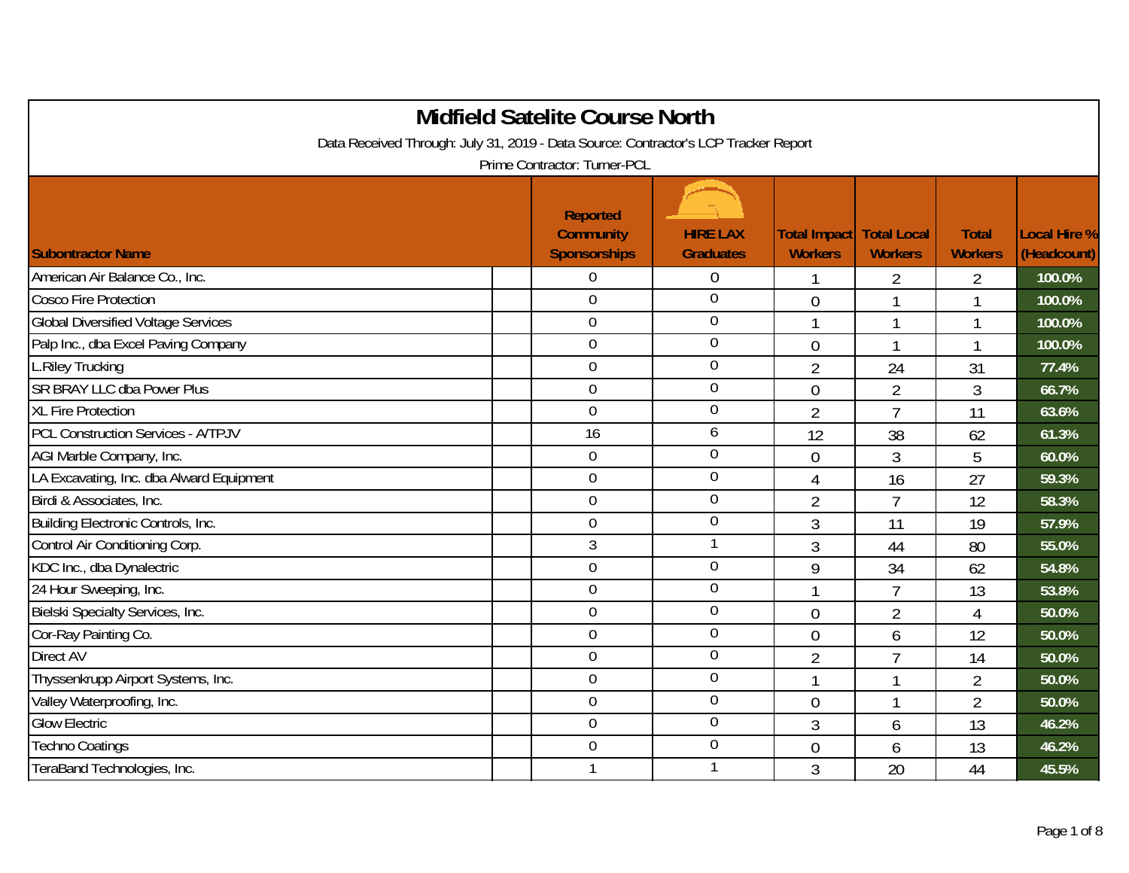|                                                                                     | <b>Midfield Satelite Course North</b>                      |                                     |                                |                                      |                                |                             |
|-------------------------------------------------------------------------------------|------------------------------------------------------------|-------------------------------------|--------------------------------|--------------------------------------|--------------------------------|-----------------------------|
| Data Received Through: July 31, 2019 - Data Source: Contractor's LCP Tracker Report |                                                            |                                     |                                |                                      |                                |                             |
|                                                                                     | Prime Contractor: Turner-PCL                               |                                     |                                |                                      |                                |                             |
| <b>Subontractor Name</b>                                                            | <b>Reported</b><br><b>Community</b><br><b>Sponsorships</b> | <b>HIRE LAX</b><br><b>Graduates</b> | Total Impact<br><b>Workers</b> | <b>Total Local</b><br><b>Workers</b> | <b>Total</b><br><b>Workers</b> | Local Hire %<br>(Headcount) |
| American Air Balance Co., Inc.                                                      | 0                                                          | $\overline{0}$                      |                                | $\overline{2}$                       | $\overline{2}$                 | 100.0%                      |
| <b>Cosco Fire Protection</b>                                                        | $\mathbf 0$                                                | $\boldsymbol{0}$                    | $\mathbf 0$                    |                                      | 1                              | 100.0%                      |
| <b>Global Diversified Voltage Services</b>                                          | $\overline{0}$                                             | $\overline{0}$                      | $\mathbf{1}$                   | $\mathbf{1}$                         | 1                              | 100.0%                      |
| Palp Inc., dba Excel Paving Company                                                 | $\overline{0}$                                             | $\mathbf 0$                         | $\overline{0}$                 | 1                                    | 1                              | 100.0%                      |
| L.Riley Trucking                                                                    | $\mathbf 0$                                                | $\mathbf 0$                         | $\overline{2}$                 | 24                                   | 31                             | 77.4%                       |
| <b>SR BRAY LLC dba Power Plus</b>                                                   | $\boldsymbol{0}$                                           | $\mathbf 0$                         | $\mathbf 0$                    | $\overline{2}$                       | 3                              | 66.7%                       |
| <b>XL Fire Protection</b>                                                           | $\mathbf 0$                                                | $\mathbf 0$                         | $\overline{2}$                 | $\overline{7}$                       | 11                             | 63.6%                       |
| <b>PCL Construction Services - A/TPJV</b>                                           | 16                                                         | 6                                   | 12                             | 38                                   | 62                             | 61.3%                       |
| AGI Marble Company, Inc.                                                            | $\mathbf 0$                                                | $\overline{0}$                      | $\overline{0}$                 | $\overline{3}$                       | 5                              | 60.0%                       |
| LA Excavating, Inc. dba Alward Equipment                                            | $\overline{0}$                                             | $\mathbf 0$                         | 4                              | 16                                   | 27                             | 59.3%                       |
| Birdi & Associates, Inc.                                                            | $\mathbf 0$                                                | $\mathbf 0$                         | $\overline{2}$                 | $\overline{7}$                       | 12                             | 58.3%                       |
| Building Electronic Controls, Inc.                                                  | $\mathbf 0$                                                | $\boldsymbol{0}$                    | $\overline{3}$                 | 11                                   | 19                             | 57.9%                       |
| Control Air Conditioning Corp.                                                      | 3                                                          |                                     | 3                              | 44                                   | 80                             | 55.0%                       |
| KDC Inc., dba Dynalectric                                                           | $\mathbf 0$                                                | $\boldsymbol{0}$                    | 9                              | 34                                   | 62                             | 54.8%                       |
| 24 Hour Sweeping, Inc.                                                              | $\mathbf 0$                                                | $\mathbf 0$                         | 1                              | $\overline{7}$                       | 13                             | 53.8%                       |
| Bielski Specialty Services, Inc.                                                    | $\boldsymbol{0}$                                           | $\mathbf 0$                         | $\theta$                       | $\overline{2}$                       | 4                              | 50.0%                       |
| Cor-Ray Painting Co.                                                                | $\overline{0}$                                             | $\overline{0}$                      | $\overline{0}$                 | 6                                    | 12                             | 50.0%                       |
| Direct AV                                                                           | $\overline{0}$                                             | $\mathbf 0$                         | $\overline{2}$                 | $\overline{7}$                       | 14                             | 50.0%                       |
| Thyssenkrupp Airport Systems, Inc.                                                  | $\mathbf 0$                                                | $\overline{0}$                      | 1                              |                                      | $\overline{2}$                 | 50.0%                       |
| Valley Waterproofing, Inc.                                                          | $\mathbf 0$                                                | $\mathbf 0$                         | $\theta$                       | 1                                    | $\overline{2}$                 | 50.0%                       |
| <b>Glow Electric</b>                                                                | $\mathbf 0$                                                | $\boldsymbol{0}$                    | 3                              | 6                                    | 13                             | 46.2%                       |
| <b>Techno Coatings</b>                                                              | $\mathbf 0$                                                | $\boldsymbol{0}$                    | $\overline{0}$                 | 6                                    | 13                             | 46.2%                       |
| TeraBand Technologies, Inc.                                                         | $\mathbf{1}$                                               | -1                                  | 3                              | 20                                   | 44                             | 45.5%                       |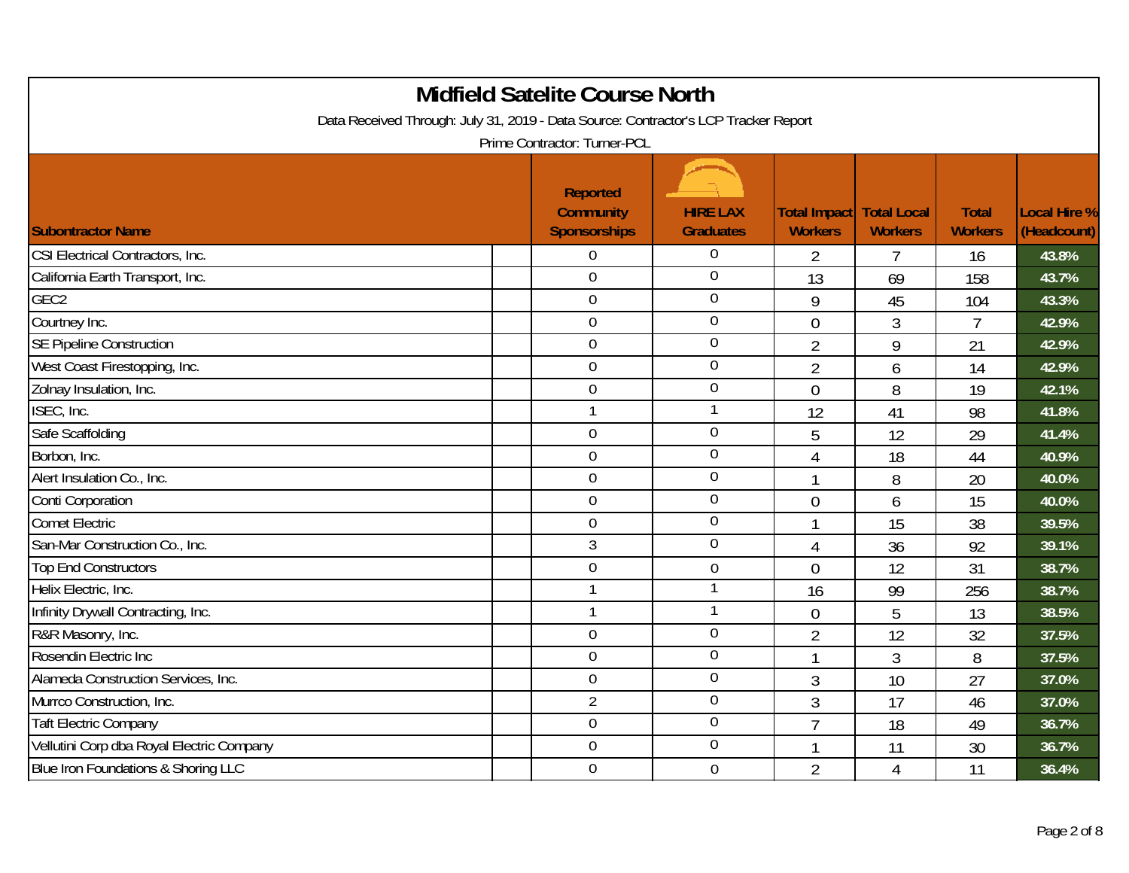| <b>Midfield Satelite Course North</b><br>Data Received Through: July 31, 2019 - Data Source: Contractor's LCP Tracker Report<br>Prime Contractor: Turner-PCL |  |                                                            |                                     |                                       |                                      |                                |                                    |  |  |  |
|--------------------------------------------------------------------------------------------------------------------------------------------------------------|--|------------------------------------------------------------|-------------------------------------|---------------------------------------|--------------------------------------|--------------------------------|------------------------------------|--|--|--|
| <b>Subontractor Name</b>                                                                                                                                     |  | <b>Reported</b><br><b>Community</b><br><b>Sponsorships</b> | <b>HIRE LAX</b><br><b>Graduates</b> | <b>Total Impact</b><br><b>Workers</b> | <b>Total Local</b><br><b>Workers</b> | <b>Total</b><br><b>Workers</b> | <b>Local Hire %</b><br>(Headcount) |  |  |  |
| CSI Electrical Contractors, Inc.                                                                                                                             |  | $\mathbf 0$                                                | $\boldsymbol{0}$                    | $\overline{2}$                        | $\overline{7}$                       | 16                             | 43.8%                              |  |  |  |
| California Earth Transport, Inc.                                                                                                                             |  | $\mathbf 0$                                                | $\overline{0}$                      | 13                                    | 69                                   | 158                            | 43.7%                              |  |  |  |
| GEC <sub>2</sub>                                                                                                                                             |  | $\boldsymbol{0}$                                           | $\mathbf 0$                         | 9                                     | 45                                   | 104                            | 43.3%                              |  |  |  |
| Courtney Inc.                                                                                                                                                |  | $\mathbf 0$                                                | $\theta$                            | $\overline{0}$                        | $\overline{3}$                       | $\overline{7}$                 | 42.9%                              |  |  |  |
| <b>SE Pipeline Construction</b>                                                                                                                              |  | $\mathbf 0$                                                | $\overline{0}$                      | $\overline{2}$                        | 9                                    | 21                             | 42.9%                              |  |  |  |
| West Coast Firestopping, Inc.                                                                                                                                |  | $\mathbf 0$                                                | $\overline{0}$                      | $\overline{2}$                        | 6                                    | 14                             | 42.9%                              |  |  |  |
| Zolnay Insulation, Inc.                                                                                                                                      |  | $\mathbf 0$                                                | $\theta$                            | $\overline{0}$                        | 8                                    | 19                             | 42.1%                              |  |  |  |
| ISEC, Inc.                                                                                                                                                   |  | $\mathbf{1}$                                               | -1                                  | 12                                    | 41                                   | 98                             | 41.8%                              |  |  |  |
| Safe Scaffolding                                                                                                                                             |  | $\mathbf 0$                                                | $\mathbf 0$                         | 5                                     | 12                                   | 29                             | 41.4%                              |  |  |  |
| Borbon, Inc.                                                                                                                                                 |  | $\mathbf 0$                                                | $\overline{0}$                      | $\overline{4}$                        | 18                                   | 44                             | 40.9%                              |  |  |  |
| Alert Insulation Co., Inc.                                                                                                                                   |  | $\overline{0}$                                             | $\overline{0}$                      | $\mathbf{1}$                          | 8                                    | 20                             | 40.0%                              |  |  |  |
| Conti Corporation                                                                                                                                            |  | $\mathbf 0$                                                | $\mathbf 0$                         | $\overline{0}$                        | 6                                    | 15                             | 40.0%                              |  |  |  |
| <b>Comet Electric</b>                                                                                                                                        |  | $\mathbf 0$                                                | $\mathbf 0$                         | $\mathbf{1}$                          | 15                                   | 38                             | 39.5%                              |  |  |  |
| San-Mar Construction Co., Inc.                                                                                                                               |  | 3                                                          | $\overline{0}$                      | $\overline{4}$                        | 36                                   | 92                             | 39.1%                              |  |  |  |
| <b>Top End Constructors</b>                                                                                                                                  |  | $\mathbf 0$                                                | $\mathbf 0$                         | $\overline{0}$                        | 12                                   | 31                             | 38.7%                              |  |  |  |
| Helix Electric, Inc.                                                                                                                                         |  | $\mathbf{1}$                                               | $\mathbf{1}$                        | 16                                    | 99                                   | 256                            | 38.7%                              |  |  |  |
| Infinity Drywall Contracting, Inc.                                                                                                                           |  | $\mathbf{1}$                                               | 1                                   | $\theta$                              | 5                                    | 13                             | 38.5%                              |  |  |  |
| R&R Masonry, Inc.                                                                                                                                            |  | $\mathbf 0$                                                | $\mathbf 0$                         | $\overline{2}$                        | 12                                   | 32                             | 37.5%                              |  |  |  |
| Rosendin Electric Inc                                                                                                                                        |  | $\mathbf 0$                                                | $\mathbf 0$                         | $\mathbf{1}$                          | $\mathfrak{Z}$                       | 8                              | 37.5%                              |  |  |  |
| Alameda Construction Services, Inc.                                                                                                                          |  | $\mathbf 0$                                                | $\mathbf 0$                         | 3                                     | 10                                   | 27                             | 37.0%                              |  |  |  |
| Murrco Construction, Inc.                                                                                                                                    |  | $\overline{2}$                                             | $\mathbf 0$                         | $\mathfrak{Z}$                        | 17                                   | 46                             | 37.0%                              |  |  |  |
| <b>Taft Electric Company</b>                                                                                                                                 |  | $\mathbf 0$                                                | $\mathbf 0$                         | $\overline{7}$                        | 18                                   | 49                             | 36.7%                              |  |  |  |
| Vellutini Corp dba Royal Electric Company                                                                                                                    |  | $\mathbf 0$                                                | $\mathbf 0$                         | $\mathbf{1}$                          | 11                                   | 30                             | 36.7%                              |  |  |  |
| Blue Iron Foundations & Shoring LLC                                                                                                                          |  | $\mathbf 0$                                                | $\mathbf 0$                         | $\overline{2}$                        | 4                                    | 11                             | 36.4%                              |  |  |  |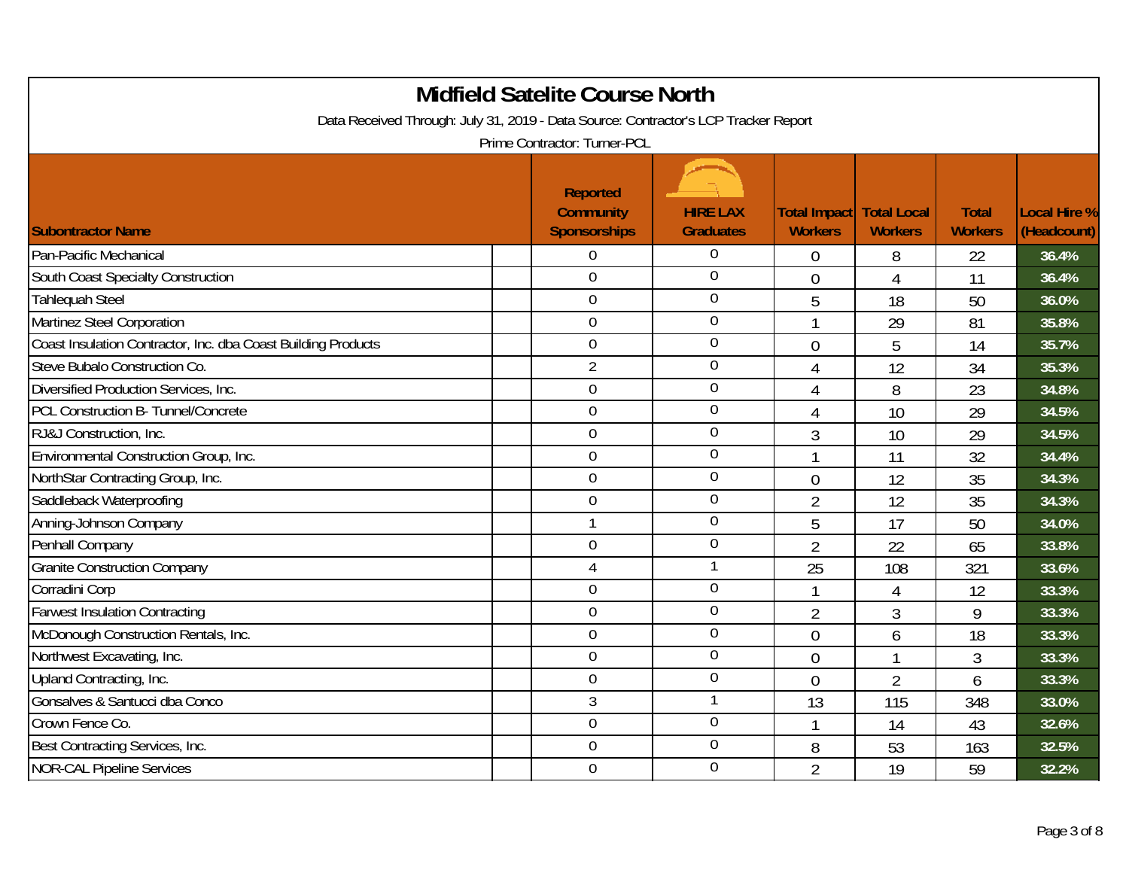| <b>Midfield Satelite Course North</b><br>Data Received Through: July 31, 2019 - Data Source: Contractor's LCP Tracker Report<br>Prime Contractor: Turner-PCL |                                                            |                                     |                                       |                                      |                                |                             |  |  |  |
|--------------------------------------------------------------------------------------------------------------------------------------------------------------|------------------------------------------------------------|-------------------------------------|---------------------------------------|--------------------------------------|--------------------------------|-----------------------------|--|--|--|
| <b>Subontractor Name</b>                                                                                                                                     | <b>Reported</b><br><b>Community</b><br><b>Sponsorships</b> | <b>HIRE LAX</b><br><b>Graduates</b> | <b>Total Impact</b><br><b>Workers</b> | <b>Total Local</b><br><b>Workers</b> | <b>Total</b><br><b>Workers</b> | Local Hire %<br>(Headcount) |  |  |  |
| Pan-Pacific Mechanical                                                                                                                                       | $\mathbf 0$                                                | $\overline{0}$                      | $\overline{0}$                        | 8                                    | 22                             | 36.4%                       |  |  |  |
| South Coast Specialty Construction                                                                                                                           | $\overline{0}$                                             | $\overline{0}$                      | $\overline{0}$                        | 4                                    | 11                             | 36.4%                       |  |  |  |
| Tahlequah Steel                                                                                                                                              | $\mathbf 0$                                                | $\mathbf 0$                         | 5                                     | 18                                   | 50                             | 36.0%                       |  |  |  |
| Martinez Steel Corporation                                                                                                                                   | $\mathbf 0$                                                | $\mathbf 0$                         | $\mathbf{1}$                          | 29                                   | 81                             | 35.8%                       |  |  |  |
| Coast Insulation Contractor, Inc. dba Coast Building Products                                                                                                | $\overline{0}$                                             | $\overline{0}$                      | $\theta$                              | 5                                    | 14                             | 35.7%                       |  |  |  |
| Steve Bubalo Construction Co.                                                                                                                                | $\overline{2}$                                             | $\mathbf 0$                         | 4                                     | 12                                   | 34                             | 35.3%                       |  |  |  |
| Diversified Production Services, Inc.                                                                                                                        | $\mathbf 0$                                                | $\mathbf 0$                         | $\overline{4}$                        | 8                                    | 23                             | 34.8%                       |  |  |  |
| PCL Construction B- Tunnel/Concrete                                                                                                                          | $\overline{0}$                                             | $\mathbf 0$                         | $\overline{4}$                        | 10                                   | 29                             | 34.5%                       |  |  |  |
| RJ&J Construction, Inc.                                                                                                                                      | $\mathbf 0$                                                | $\mathbf 0$                         | 3                                     | 10                                   | 29                             | 34.5%                       |  |  |  |
| Environmental Construction Group, Inc.                                                                                                                       | $\overline{0}$                                             | $\overline{0}$                      |                                       | 11                                   | 32                             | 34.4%                       |  |  |  |
| NorthStar Contracting Group, Inc.                                                                                                                            | $\mathbf 0$                                                | $\overline{0}$                      | $\mathbf 0$                           | 12                                   | 35                             | 34.3%                       |  |  |  |
| Saddleback Waterproofing                                                                                                                                     | $\mathbf 0$                                                | $\mathbf 0$                         | $\overline{2}$                        | 12                                   | 35                             | 34.3%                       |  |  |  |
| Anning-Johnson Company                                                                                                                                       | $\mathbf{1}$                                               | $\mathbf 0$                         | 5                                     | 17                                   | 50                             | 34.0%                       |  |  |  |
| Penhall Company                                                                                                                                              | $\overline{0}$                                             | $\mathbf 0$                         | $\overline{2}$                        | 22                                   | 65                             | 33.8%                       |  |  |  |
| <b>Granite Construction Company</b>                                                                                                                          | $\overline{4}$                                             | 1                                   | 25                                    | 108                                  | 321                            | 33.6%                       |  |  |  |
| Corradini Corp                                                                                                                                               | $\overline{0}$                                             | $\mathbf 0$                         |                                       | 4                                    | 12                             | 33.3%                       |  |  |  |
| <b>Farwest Insulation Contracting</b>                                                                                                                        | $\mathbf 0$                                                | $\overline{0}$                      | $\overline{2}$                        | 3                                    | 9                              | 33.3%                       |  |  |  |
| McDonough Construction Rentals, Inc.                                                                                                                         | $\overline{0}$                                             | $\mathbf 0$                         | $\overline{0}$                        | 6                                    | 18                             | 33.3%                       |  |  |  |
| Northwest Excavating, Inc.                                                                                                                                   | $\mathbf 0$                                                | $\mathbf 0$                         | $\overline{0}$                        | 1                                    | 3                              | 33.3%                       |  |  |  |
| Upland Contracting, Inc.                                                                                                                                     | $\overline{0}$                                             | $\mathbf 0$                         | $\overline{0}$                        | $\overline{2}$                       | 6                              | 33.3%                       |  |  |  |
| Gonsalves & Santucci dba Conco                                                                                                                               | 3                                                          |                                     | 13                                    | 115                                  | 348                            | 33.0%                       |  |  |  |
| Crown Fence Co.                                                                                                                                              | $\mathbf 0$                                                | $\boldsymbol{0}$                    |                                       | 14                                   | 43                             | 32.6%                       |  |  |  |
| Best Contracting Services, Inc.                                                                                                                              | $\mathbf 0$                                                | $\boldsymbol{0}$                    | 8                                     | 53                                   | 163                            | 32.5%                       |  |  |  |
| <b>NOR-CAL Pipeline Services</b>                                                                                                                             | $\mathbf 0$                                                | $\overline{0}$                      | $\overline{2}$                        | 19                                   | 59                             | 32.2%                       |  |  |  |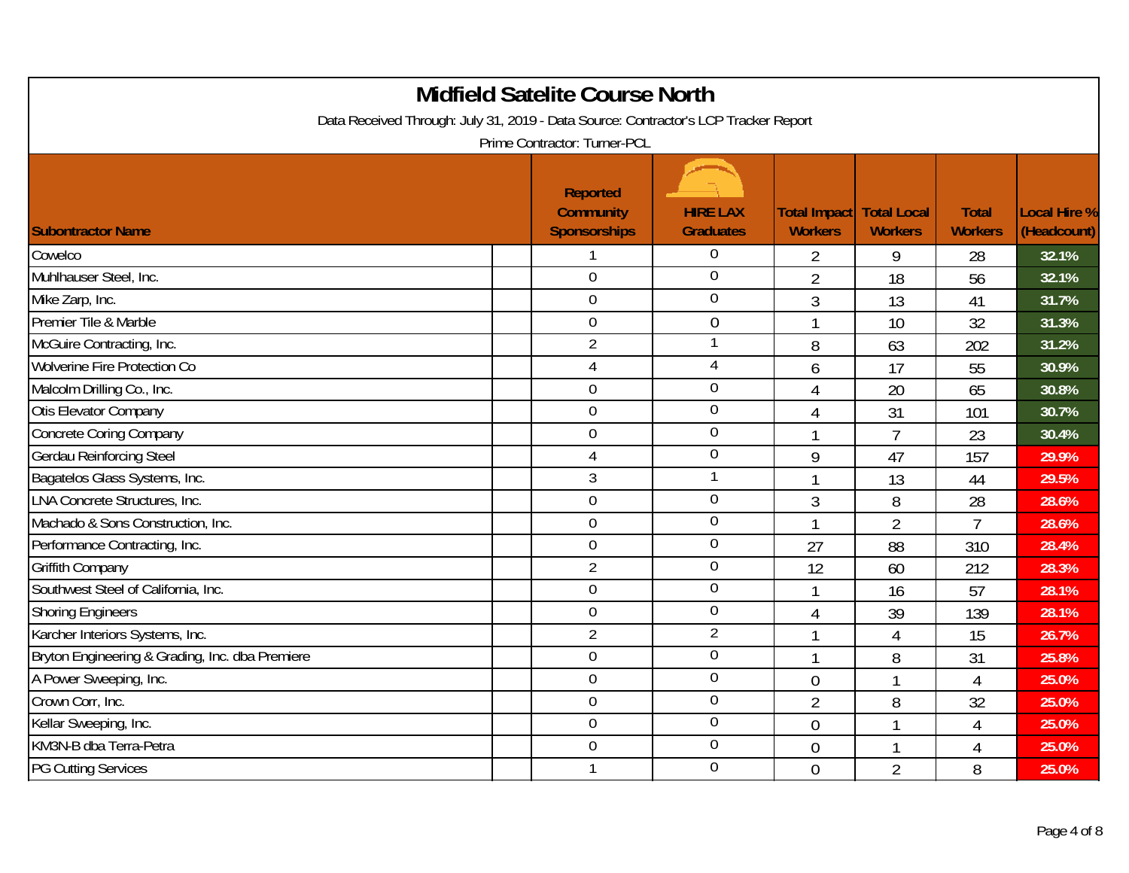| <b>Midfield Satelite Course North</b><br>Data Received Through: July 31, 2019 - Data Source: Contractor's LCP Tracker Report<br>Prime Contractor: Turner-PCL |                                                            |                                     |                                                   |                |                                |                             |  |  |  |  |
|--------------------------------------------------------------------------------------------------------------------------------------------------------------|------------------------------------------------------------|-------------------------------------|---------------------------------------------------|----------------|--------------------------------|-----------------------------|--|--|--|--|
| <b>Subontractor Name</b>                                                                                                                                     | <b>Reported</b><br><b>Community</b><br><b>Sponsorships</b> | <b>HIRE LAX</b><br><b>Graduates</b> | <b>Total Impact Total Local</b><br><b>Workers</b> | <b>Workers</b> | <b>Total</b><br><b>Workers</b> | Local Hire %<br>(Headcount) |  |  |  |  |
| Cowelco                                                                                                                                                      | $\mathbf{1}$                                               | $\overline{0}$                      | $\overline{2}$                                    | 9              | 28                             | 32.1%                       |  |  |  |  |
| Muhlhauser Steel, Inc.                                                                                                                                       | $\overline{0}$                                             | $\overline{0}$                      | $\overline{2}$                                    | 18             | 56                             | 32.1%                       |  |  |  |  |
| Mike Zarp, Inc.                                                                                                                                              | $\mathbf 0$                                                | $\boldsymbol{0}$                    | 3                                                 | 13             | 41                             | 31.7%                       |  |  |  |  |
| Premier Tile & Marble                                                                                                                                        | $\overline{0}$                                             | $\overline{0}$                      | $\overline{1}$                                    | 10             | 32                             | 31.3%                       |  |  |  |  |
| McGuire Contracting, Inc.                                                                                                                                    | $\overline{2}$                                             |                                     | 8                                                 | 63             | 202                            | 31.2%                       |  |  |  |  |
| <b>Wolverine Fire Protection Co</b>                                                                                                                          | $\overline{4}$                                             | $\overline{4}$                      | 6                                                 | 17             | 55                             | 30.9%                       |  |  |  |  |
| Malcolm Drilling Co., Inc.                                                                                                                                   | $\overline{0}$                                             | $\mathbf 0$                         | 4                                                 | 20             | 65                             | 30.8%                       |  |  |  |  |
| Otis Elevator Company                                                                                                                                        | $\mathbf 0$                                                | $\overline{0}$                      | $\overline{4}$                                    | 31             | 101                            | 30.7%                       |  |  |  |  |
| <b>Concrete Coring Company</b>                                                                                                                               | $\mathbf 0$                                                | $\boldsymbol{0}$                    | $\mathbf{1}$                                      | $\overline{7}$ | 23                             | 30.4%                       |  |  |  |  |
| Gerdau Reinforcing Steel                                                                                                                                     | $\overline{4}$                                             | $\mathbf 0$                         | 9                                                 | 47             | 157                            | 29.9%                       |  |  |  |  |
| Bagatelos Glass Systems, Inc.                                                                                                                                | 3                                                          | $\mathbf{1}$                        | $\mathbf{1}$                                      | 13             | 44                             | 29.5%                       |  |  |  |  |
| <b>LNA Concrete Structures, Inc.</b>                                                                                                                         | $\overline{0}$                                             | $\mathbf 0$                         | $\mathfrak{Z}$                                    | 8              | 28                             | 28.6%                       |  |  |  |  |
| Machado & Sons Construction, Inc.                                                                                                                            | $\mathbf 0$                                                | $\overline{0}$                      | $\mathbf{1}$                                      | $\overline{2}$ | $\overline{7}$                 | 28.6%                       |  |  |  |  |
| Performance Contracting, Inc.                                                                                                                                | $\overline{0}$                                             | $\mathbf 0$                         | 27                                                | 88             | 310                            | 28.4%                       |  |  |  |  |
| <b>Griffith Company</b>                                                                                                                                      | $\overline{2}$                                             | $\mathbf 0$                         | 12                                                | 60             | 212                            | 28.3%                       |  |  |  |  |
| Southwest Steel of California, Inc.                                                                                                                          | $\mathbf 0$                                                | $\mathbf 0$                         | $\overline{\mathbf{1}}$                           | 16             | 57                             | 28.1%                       |  |  |  |  |
| <b>Shoring Engineers</b>                                                                                                                                     | $\overline{0}$                                             | $\overline{0}$                      | $\overline{4}$                                    | 39             | 139                            | 28.1%                       |  |  |  |  |
| Karcher Interiors Systems, Inc.                                                                                                                              | $\overline{2}$                                             | $\overline{2}$                      | $\mathbf{1}$                                      | 4              | 15                             | 26.7%                       |  |  |  |  |
| Bryton Engineering & Grading, Inc. dba Premiere                                                                                                              | $\overline{0}$                                             | $\overline{0}$                      | $\mathbf{1}$                                      | 8              | 31                             | 25.8%                       |  |  |  |  |
| A Power Sweeping, Inc.                                                                                                                                       | $\mathbf 0$                                                | $\overline{0}$                      | $\overline{0}$                                    | 1              | 4                              | 25.0%                       |  |  |  |  |
| Crown Corr, Inc.                                                                                                                                             | $\overline{0}$                                             | $\mathbf 0$                         | $\overline{2}$                                    | 8              | 32                             | 25.0%                       |  |  |  |  |
| Kellar Sweeping, Inc.                                                                                                                                        | $\mathbf 0$                                                | $\overline{0}$                      | $\theta$                                          | $\mathbf{1}$   | 4                              | 25.0%                       |  |  |  |  |
| KM3N-B dba Terra-Petra                                                                                                                                       | $\mathbf 0$                                                | $\theta$                            | $\theta$                                          | $\mathbf{1}$   | 4                              | 25.0%                       |  |  |  |  |
| <b>PG Cutting Services</b>                                                                                                                                   | $\mathbf{1}$                                               | $\overline{0}$                      | $\overline{0}$                                    | $\overline{2}$ | 8                              | 25.0%                       |  |  |  |  |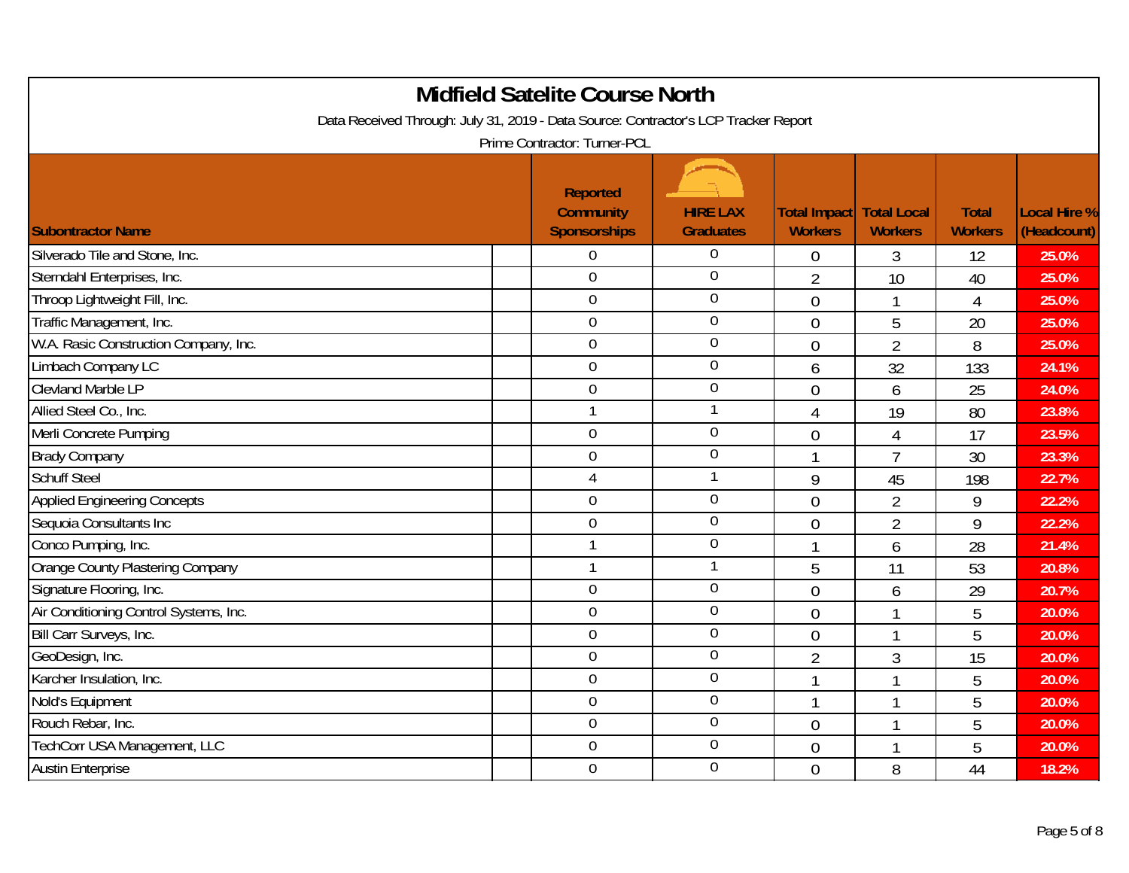| <b>Midfield Satelite Course North</b><br>Data Received Through: July 31, 2019 - Data Source: Contractor's LCP Tracker Report<br>Prime Contractor: Turner-PCL |  |                                                            |                                     |                                            |                |                                |                             |  |  |  |
|--------------------------------------------------------------------------------------------------------------------------------------------------------------|--|------------------------------------------------------------|-------------------------------------|--------------------------------------------|----------------|--------------------------------|-----------------------------|--|--|--|
| <b>Subontractor Name</b>                                                                                                                                     |  | <b>Reported</b><br><b>Community</b><br><b>Sponsorships</b> | <b>HIRE LAX</b><br><b>Graduates</b> | Total Impact Total Local<br><b>Workers</b> | <b>Workers</b> | <b>Total</b><br><b>Workers</b> | Local Hire %<br>(Headcount) |  |  |  |
| Silverado Tile and Stone, Inc.                                                                                                                               |  | $\overline{0}$                                             | $\theta$                            | $\overline{0}$                             | 3              | 12                             | 25.0%                       |  |  |  |
| Sterndahl Enterprises, Inc.                                                                                                                                  |  | $\mathbf 0$                                                | $\overline{0}$                      | $\overline{2}$                             | 10             | 40                             | 25.0%                       |  |  |  |
| Throop Lightweight Fill, Inc.                                                                                                                                |  | $\mathbf 0$                                                | $\boldsymbol{0}$                    | $\overline{0}$                             | 1              | 4                              | 25.0%                       |  |  |  |
| Traffic Management, Inc.                                                                                                                                     |  | $\overline{0}$                                             | $\mathbf 0$                         | $\overline{0}$                             | 5              | 20                             | 25.0%                       |  |  |  |
| W.A. Rasic Construction Company, Inc.                                                                                                                        |  | $\mathbf 0$                                                | $\overline{0}$                      | $\overline{0}$                             | $\overline{2}$ | 8                              | 25.0%                       |  |  |  |
| Limbach Company LC                                                                                                                                           |  | $\mathbf 0$                                                | $\overline{0}$                      | 6                                          | 32             | 133                            | 24.1%                       |  |  |  |
| <b>Clevland Marble LP</b>                                                                                                                                    |  | $\overline{0}$                                             | $\mathbf 0$                         | $\overline{0}$                             | 6              | 25                             | 24.0%                       |  |  |  |
| Allied Steel Co., Inc.                                                                                                                                       |  | $\mathbf{1}$                                               |                                     | 4                                          | 19             | 80                             | 23.8%                       |  |  |  |
| Merli Concrete Pumping                                                                                                                                       |  | $\overline{0}$                                             | $\mathbf 0$                         | $\overline{0}$                             | 4              | 17                             | 23.5%                       |  |  |  |
| <b>Brady Company</b>                                                                                                                                         |  | $\mathbf 0$                                                | $\mathbf 0$                         | $\overline{1}$                             | $\overline{7}$ | 30                             | 23.3%                       |  |  |  |
| <b>Schuff Steel</b>                                                                                                                                          |  | 4                                                          |                                     | 9                                          | 45             | 198                            | 22.7%                       |  |  |  |
| <b>Applied Engineering Concepts</b>                                                                                                                          |  | $\overline{0}$                                             | $\mathbf 0$                         | $\overline{0}$                             | $\overline{2}$ | 9                              | 22.2%                       |  |  |  |
| Sequoia Consultants Inc                                                                                                                                      |  | $\mathbf 0$                                                | $\overline{0}$                      | $\overline{0}$                             | $\overline{2}$ | 9                              | 22.2%                       |  |  |  |
| Conco Pumping, Inc.                                                                                                                                          |  | 1                                                          | $\mathbf 0$                         | $\mathbf{1}$                               | 6              | 28                             | 21.4%                       |  |  |  |
| <b>Orange County Plastering Company</b>                                                                                                                      |  | $\mathbf{1}$                                               |                                     | 5                                          | 11             | 53                             | 20.8%                       |  |  |  |
| Signature Flooring, Inc.                                                                                                                                     |  | $\mathbf 0$                                                | $\mathbf 0$                         | $\overline{0}$                             | 6              | 29                             | 20.7%                       |  |  |  |
| Air Conditioning Control Systems, Inc.                                                                                                                       |  | $\mathbf 0$                                                | $\mathbf 0$                         | $\overline{0}$                             | $\mathbf 1$    | 5                              | 20.0%                       |  |  |  |
| Bill Carr Surveys, Inc.                                                                                                                                      |  | $\overline{0}$                                             | $\overline{0}$                      | $\overline{0}$                             | $\mathbf{1}$   | 5                              | 20.0%                       |  |  |  |
| GeoDesign, Inc.                                                                                                                                              |  | $\mathbf 0$                                                | $\overline{0}$                      | $\overline{2}$                             | $\overline{3}$ | 15                             | 20.0%                       |  |  |  |
| Karcher Insulation, Inc.                                                                                                                                     |  | $\mathbf 0$                                                | $\overline{0}$                      | $\mathbf{1}$                               | 1              | 5                              | 20.0%                       |  |  |  |
| Nold's Equipment                                                                                                                                             |  | $\overline{0}$                                             | $\mathbf 0$                         | $\overline{1}$                             | $\mathbf{1}$   | 5                              | 20.0%                       |  |  |  |
| Rouch Rebar, Inc.                                                                                                                                            |  | $\mathbf 0$                                                | $\mathbf 0$                         | $\overline{0}$                             | $\mathbf{1}$   | 5                              | 20.0%                       |  |  |  |
| TechCorr USA Management, LLC                                                                                                                                 |  | $\mathbf 0$                                                | $\mathbf 0$                         | $\overline{0}$                             | $\mathbf{1}$   | 5                              | 20.0%                       |  |  |  |
| <b>Austin Enterprise</b>                                                                                                                                     |  | $\mathbf 0$                                                | $\overline{0}$                      | $\overline{0}$                             | 8              | 44                             | 18.2%                       |  |  |  |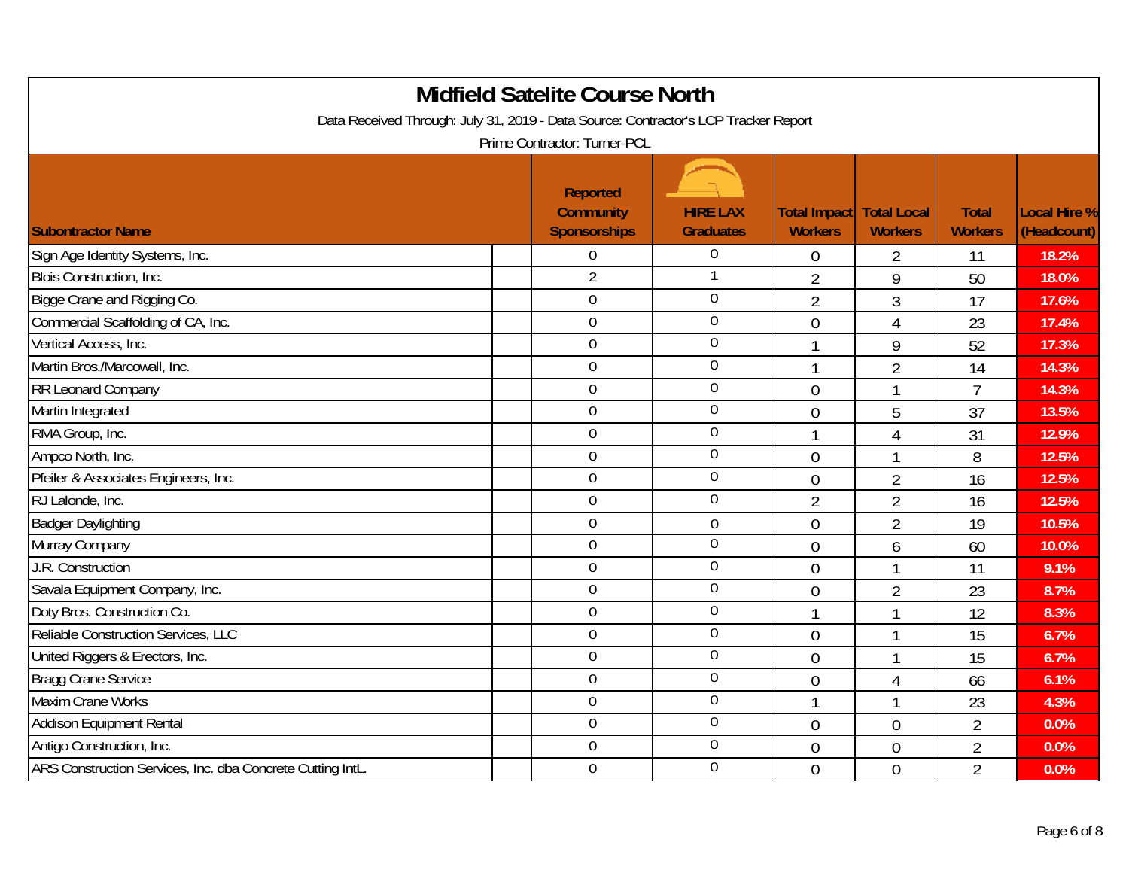| <b>Midfield Satelite Course North</b><br>Data Received Through: July 31, 2019 - Data Source: Contractor's LCP Tracker Report<br>Prime Contractor: Turner-PCL |  |                                                            |                                     |                                       |                                      |                                |                             |  |  |
|--------------------------------------------------------------------------------------------------------------------------------------------------------------|--|------------------------------------------------------------|-------------------------------------|---------------------------------------|--------------------------------------|--------------------------------|-----------------------------|--|--|
| <b>Subontractor Name</b>                                                                                                                                     |  | <b>Reported</b><br><b>Community</b><br><b>Sponsorships</b> | <b>HIRE LAX</b><br><b>Graduates</b> | <b>Total Impact</b><br><b>Workers</b> | <b>Total Local</b><br><b>Workers</b> | <b>Total</b><br><b>Workers</b> | Local Hire %<br>(Headcount) |  |  |
| Sign Age Identity Systems, Inc.                                                                                                                              |  | $\overline{0}$                                             | $\overline{0}$                      | $\overline{0}$                        | $\overline{2}$                       | 11                             | 18.2%                       |  |  |
| Blois Construction, Inc.                                                                                                                                     |  | $\overline{2}$                                             |                                     | $\overline{2}$                        | 9                                    | 50                             | 18.0%                       |  |  |
| Bigge Crane and Rigging Co.                                                                                                                                  |  | $\mathbf 0$                                                | $\boldsymbol{0}$                    | $\overline{2}$                        | 3                                    | 17                             | 17.6%                       |  |  |
| Commercial Scaffolding of CA, Inc.                                                                                                                           |  | $\mathbf 0$                                                | $\boldsymbol{0}$                    | $\overline{0}$                        | $\overline{4}$                       | 23                             | 17.4%                       |  |  |
| Vertical Access, Inc.                                                                                                                                        |  | $\mathbf 0$                                                | $\overline{0}$                      | $\overline{1}$                        | 9                                    | 52                             | 17.3%                       |  |  |
| Martin Bros./Marcowall, Inc.                                                                                                                                 |  | $\mathbf 0$                                                | $\boldsymbol{0}$                    | -1                                    | $\overline{2}$                       | 14                             | 14.3%                       |  |  |
| <b>RR Leonard Company</b>                                                                                                                                    |  | $\mathbf 0$                                                | $\mathbf 0$                         | $\overline{0}$                        | $\mathbf{1}$                         | $\overline{7}$                 | 14.3%                       |  |  |
| Martin Integrated                                                                                                                                            |  | $\mathbf 0$                                                | $\mathbf 0$                         | $\overline{0}$                        | 5                                    | 37                             | 13.5%                       |  |  |
| RMA Group, Inc.                                                                                                                                              |  | $\mathbf 0$                                                | $\mathbf 0$                         | $\mathbf 1$                           | 4                                    | 31                             | 12.9%                       |  |  |
| Ampco North, Inc.                                                                                                                                            |  | $\mathbf 0$                                                | $\mathbf 0$                         | $\overline{0}$                        | $\mathbf{1}$                         | 8                              | 12.5%                       |  |  |
| Pfeiler & Associates Engineers, Inc.                                                                                                                         |  | $\mathbf 0$                                                | $\mathbf 0$                         | $\mathbf 0$                           | $\overline{2}$                       | 16                             | 12.5%                       |  |  |
| RJ Lalonde, Inc.                                                                                                                                             |  | $\overline{0}$                                             | $\overline{0}$                      | $\overline{2}$                        | $\overline{2}$                       | 16                             | 12.5%                       |  |  |
| <b>Badger Daylighting</b>                                                                                                                                    |  | $\mathbf 0$                                                | $\mathbf 0$                         | $\overline{0}$                        | $\overline{2}$                       | 19                             | 10.5%                       |  |  |
| Murray Company                                                                                                                                               |  | $\mathbf 0$                                                | $\overline{0}$                      | $\overline{0}$                        | 6                                    | 60                             | 10.0%                       |  |  |
| J.R. Construction                                                                                                                                            |  | $\mathbf 0$                                                | $\mathbf 0$                         | $\overline{0}$                        | $\mathbf{1}$                         | 11                             | 9.1%                        |  |  |
| Savala Equipment Company, Inc.                                                                                                                               |  | $\mathbf 0$                                                | $\mathbf 0$                         | $\overline{0}$                        | $\overline{2}$                       | 23                             | 8.7%                        |  |  |
| Doty Bros. Construction Co.                                                                                                                                  |  | $\mathbf 0$                                                | $\mathbf 0$                         | $\overline{1}$                        | $\mathbf{1}$                         | 12                             | 8.3%                        |  |  |
| Reliable Construction Services, LLC                                                                                                                          |  | $\mathbf 0$                                                | $\overline{0}$                      | $\overline{0}$                        | $\mathbf{1}$                         | 15                             | 6.7%                        |  |  |
| United Riggers & Erectors, Inc.                                                                                                                              |  | $\overline{0}$                                             | $\mathbf 0$                         | $\overline{0}$                        | 1                                    | 15                             | 6.7%                        |  |  |
| <b>Bragg Crane Service</b>                                                                                                                                   |  | $\boldsymbol{0}$                                           | $\overline{0}$                      | $\overline{0}$                        | $\overline{4}$                       | 66                             | 6.1%                        |  |  |
| <b>Maxim Crane Works</b>                                                                                                                                     |  | $\mathbf 0$                                                | $\boldsymbol{0}$                    | $\mathbf{1}$                          | $\mathbf{1}$                         | 23                             | 4.3%                        |  |  |
| <b>Addison Equipment Rental</b>                                                                                                                              |  | $\overline{0}$                                             | $\mathbf 0$                         | $\overline{0}$                        | $\overline{0}$                       | $\overline{2}$                 | 0.0%                        |  |  |
| Antigo Construction, Inc.                                                                                                                                    |  | $\boldsymbol{0}$                                           | $\theta$                            | $\overline{0}$                        | $\mathbf 0$                          | $\overline{2}$                 | 0.0%                        |  |  |
| ARS Construction Services, Inc. dba Concrete Cutting IntL.                                                                                                   |  | $\mathbf 0$                                                | $\mathbf 0$                         | $\overline{0}$                        | $\overline{0}$                       | $\overline{2}$                 | 0.0%                        |  |  |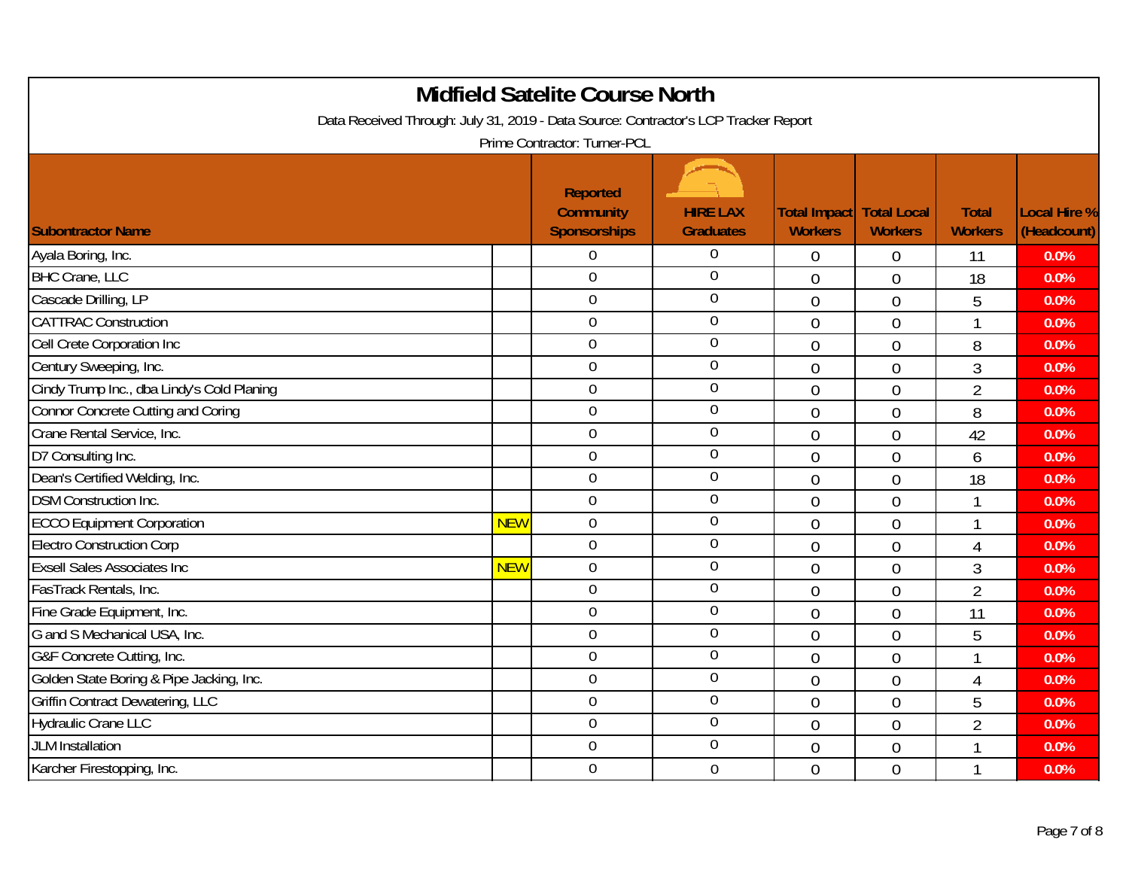| <b>Midfield Satelite Course North</b><br>Data Received Through: July 31, 2019 - Data Source: Contractor's LCP Tracker Report<br>Prime Contractor: Turner-PCL |            |                                                            |                                     |                                       |                                      |                                |                                    |  |  |
|--------------------------------------------------------------------------------------------------------------------------------------------------------------|------------|------------------------------------------------------------|-------------------------------------|---------------------------------------|--------------------------------------|--------------------------------|------------------------------------|--|--|
| <b>Subontractor Name</b>                                                                                                                                     |            | <b>Reported</b><br><b>Community</b><br><b>Sponsorships</b> | <b>HIRE LAX</b><br><b>Graduates</b> | <b>Total Impact</b><br><b>Workers</b> | <b>Total Local</b><br><b>Workers</b> | <b>Total</b><br><b>Workers</b> | <b>Local Hire %</b><br>(Headcount) |  |  |
| Ayala Boring, Inc.                                                                                                                                           |            | $\mathbf 0$                                                | $\overline{0}$                      | $\overline{0}$                        | $\overline{0}$                       | 11                             | 0.0%                               |  |  |
| <b>BHC Crane, LLC</b>                                                                                                                                        |            | $\overline{0}$                                             | $\overline{0}$                      | $\overline{0}$                        | $\overline{0}$                       | 18                             | 0.0%                               |  |  |
| Cascade Drilling, LP                                                                                                                                         |            | $\boldsymbol{0}$                                           | $\mathbf 0$                         | $\mathbf 0$                           | $\boldsymbol{0}$                     | 5                              | 0.0%                               |  |  |
| <b>CATTRAC Construction</b>                                                                                                                                  |            | $\mathbf 0$                                                | $\overline{0}$                      | $\overline{0}$                        | $\overline{0}$                       | $\mathbf{1}$                   | 0.0%                               |  |  |
| Cell Crete Corporation Inc                                                                                                                                   |            | $\overline{0}$                                             | $\overline{0}$                      | $\overline{0}$                        | $\overline{0}$                       | 8                              | 0.0%                               |  |  |
| Century Sweeping, Inc.                                                                                                                                       |            | $\mathbf 0$                                                | $\overline{0}$                      | $\overline{0}$                        | $\overline{0}$                       | 3                              | 0.0%                               |  |  |
| Cindy Trump Inc., dba Lindy's Cold Planing                                                                                                                   |            | $\mathbf 0$                                                | $\overline{0}$                      | $\overline{0}$                        | $\overline{0}$                       | $\overline{2}$                 | 0.0%                               |  |  |
| Connor Concrete Cutting and Coring                                                                                                                           |            | $\overline{0}$                                             | $\overline{0}$                      | $\overline{0}$                        | $\overline{0}$                       | 8                              | 0.0%                               |  |  |
| Crane Rental Service, Inc.                                                                                                                                   |            | $\mathbf 0$                                                | $\mathbf 0$                         | $\overline{0}$                        | $\overline{0}$                       | 42                             | 0.0%                               |  |  |
| D7 Consulting Inc.                                                                                                                                           |            | $\mathbf 0$                                                | $\overline{0}$                      | $\overline{0}$                        | $\overline{0}$                       | 6                              | 0.0%                               |  |  |
| Dean's Certified Welding, Inc.                                                                                                                               |            | $\overline{0}$                                             | $\overline{0}$                      | $\overline{0}$                        | $\overline{0}$                       | 18                             | 0.0%                               |  |  |
| <b>DSM Construction Inc.</b>                                                                                                                                 |            | $\mathbf 0$                                                | $\mathbf 0$                         | $\overline{0}$                        | $\overline{0}$                       | 1                              | 0.0%                               |  |  |
| <b>ECCO Equipment Corporation</b>                                                                                                                            | <b>NEW</b> | $\overline{0}$                                             | $\mathbf 0$                         | $\overline{0}$                        | $\overline{0}$                       | $\mathbf{1}$                   | 0.0%                               |  |  |
| <b>Electro Construction Corp</b>                                                                                                                             |            | $\overline{0}$                                             | $\overline{0}$                      | $\overline{0}$                        | $\overline{0}$                       | $\overline{4}$                 | 0.0%                               |  |  |
| <b>Exsell Sales Associates Inc</b>                                                                                                                           | <b>NEW</b> | $\mathbf 0$                                                | $\mathbf 0$                         | $\overline{0}$                        | $\overline{0}$                       | $\mathfrak{Z}$                 | 0.0%                               |  |  |
| FasTrack Rentals, Inc.                                                                                                                                       |            | $\mathbf 0$                                                | $\overline{0}$                      | $\overline{0}$                        | $\overline{0}$                       | $\overline{2}$                 | 0.0%                               |  |  |
| Fine Grade Equipment, Inc.                                                                                                                                   |            | $\mathbf 0$                                                | $\overline{0}$                      | $\overline{0}$                        | $\overline{0}$                       | 11                             | 0.0%                               |  |  |
| G and S Mechanical USA, Inc.                                                                                                                                 |            | $\mathbf 0$                                                | $\overline{0}$                      | $\theta$                              | $\overline{0}$                       | 5                              | 0.0%                               |  |  |
| G&F Concrete Cutting, Inc.                                                                                                                                   |            | $\mathbf 0$                                                | $\theta$                            | $\overline{0}$                        | $\overline{0}$                       | 1                              | 0.0%                               |  |  |
| Golden State Boring & Pipe Jacking, Inc.                                                                                                                     |            | $\mathbf 0$                                                | $\mathbf 0$                         | $\mathbf 0$                           | $\boldsymbol{0}$                     | 4                              | 0.0%                               |  |  |
| <b>Griffin Contract Dewatering, LLC</b>                                                                                                                      |            | $\mathbf 0$                                                | $\theta$                            | $\overline{0}$                        | $\overline{0}$                       | 5                              | 0.0%                               |  |  |
| <b>Hydraulic Crane LLC</b>                                                                                                                                   |            | $\mathbf 0$                                                | $\mathbf 0$                         | $\overline{0}$                        | $\overline{0}$                       | $\overline{2}$                 | 0.0%                               |  |  |
| <b>JLM</b> Installation                                                                                                                                      |            | $\mathbf 0$                                                | $\mathbf 0$                         | $\theta$                              | $\overline{0}$                       | $\mathbf{1}$                   | 0.0%                               |  |  |
| Karcher Firestopping, Inc.                                                                                                                                   |            | $\mathbf 0$                                                | $\mathbf 0$                         | $\overline{0}$                        | $\overline{0}$                       | $\mathbf{1}$                   | 0.0%                               |  |  |